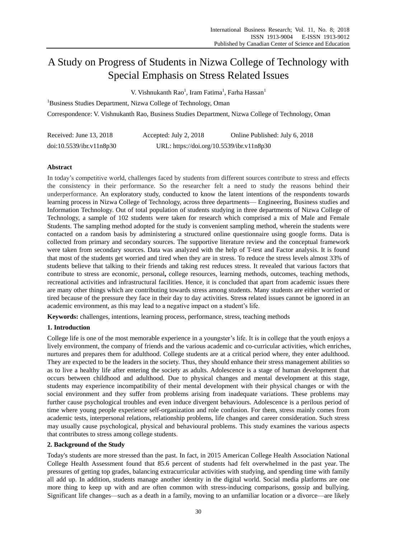# A Study on Progress of Students in Nizwa College of Technology with Special Emphasis on Stress Related Issues

V. Vishnukanth Rao<sup>1</sup>, Iram Fatima<sup>1</sup>, Farha Hassan<sup>1</sup>

<sup>1</sup>Business Studies Department, Nizwa College of Technology, Oman

Correspondence: V. Vishnukanth Rao, Business Studies Department, Nizwa College of Technology, Oman

| Received: June 13, 2018  | Accepted: July 2, 2018                    | Online Published: July 6, 2018 |
|--------------------------|-------------------------------------------|--------------------------------|
| doi:10.5539/ibr.v11n8p30 | URL: https://doi.org/10.5539/ibr.v11n8p30 |                                |

# **Abstract**

In today's competitive world, challenges faced by students from different sources contribute to stress and effects the consistency in their performance. So the researcher felt a need to study the reasons behind their underperformance. An exploratory study, conducted to know the latent intentions of the respondents towards learning process in Nizwa College of Technology, across three departments— Engineering, Business studies and Information Technology. Out of total population of students studying in three departments of Nizwa College of Technology, a sample of 102 students were taken for research which comprised a mix of Male and Female Students. The sampling method adopted for the study is convenient sampling method, wherein the students were contacted on a random basis by administering a structured online questionnaire using google forms. Data is collected from primary and secondary sources. The supportive literature review and the conceptual framework were taken from secondary sources. Data was analyzed with the help of T-test and Factor analysis. It is found that most of the students get worried and tired when they are in stress. To reduce the stress levels almost 33% of students believe that talking to their friends and taking rest reduces stress. It revealed that various factors that contribute to stress are economic, personal**,** college resources, learning methods, outcomes, teaching methods, recreational activities and infrastructural facilities. Hence, it is concluded that apart from academic issues there are many other things which are contributing towards stress among students. Many students are either worried or tired because of the pressure they face in their day to day activities. Stres**s** related issues cannot be ignored in an academic environment, as this may lead to a negative impact on a student's life.

**Keywords:** challenges, intentions, learning process, performance, stress, teaching methods

# **1. Introduction**

College life is one of the most memorable experience in a youngster's life. It is in college that the youth enjoys a lively environment, the company of friends and the various academic and co-curricular activities, which enriches, nurtures and prepares them for adulthood. College students are at a critical period where, they enter adulthood. They are expected to be the leaders in the society. Thus, they should enhance their stress management abilities so as to live a healthy life after entering the society as adults. Adolescence is a stage of human development that occurs between childhood and adulthood. Due to physical changes and mental development at this stage, students may experience incompatibility of their mental development with their physical changes or with the social environment and they suffer from problems arising from inadequate variations. These problems may further cause psychological troubles and even induce divergent behaviours. Adolescence is a perilous period of time where young people experience self-organization and role confusion. For them, stress mainly comes from academic tests, interpersonal relations, relationship problems, life changes and career consideration. Such stress may usually cause psychological, physical and behavioural problems. This study examines the various aspects that contributes to stress among college students.

# **2. Background of the Study**

Today's students are more stressed than the past. In fact, in 2015 American College Health Association National College Health Assessment found that 85.6 percent of students had felt overwhelmed in the past year. The pressures of getting top grades, balancing extracurricular activities with studying, and spending time with family all add up. In addition, students manage another identity in the digital world. Social media platforms are one more thing to keep up with and are often common with stress-inducing comparisons, gossip and bullying. Significant life changes—such as a death in a family, moving to an unfamiliar location or a divorce—are likely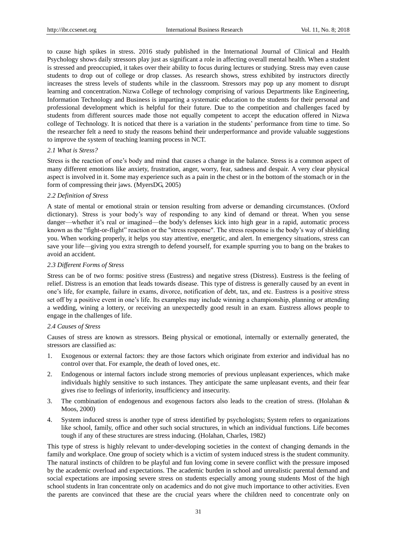to cause high spikes in stress. 2016 study published in the International Journal of Clinical and Health Psychology shows daily stressors play just as significant a role in affecting overall mental health. When a student is stressed and preoccupied, it takes over their ability to focus during lectures or studying. Stress may even cause students to drop out of college or drop classes. As research shows, stress exhibited by instructors directly increases the stress levels of students while in the classroom. Stressors may pop up any moment to disrupt learning and concentration. Nizwa College of technology comprising of various Departments like Engineering, Information Technology and Business is imparting a systematic education to the students for their personal and professional development which is helpful for their future. Due to the competition and challenges faced by students from different sources made those not equally competent to accept the education offered in Nizwa college of Technology. It is noticed that there is a variation in the students' performance from time to time. So the researcher felt a need to study the reasons behind their underperformance and provide valuable suggestions to improve the system of teaching learning process in NCT.

#### *2.1 What is Stress?*

Stress is the reaction of one's body and mind that causes a change in the balance. Stress is a common aspect of many different emotions like anxiety, frustration, anger, worry, fear, sadness and despair. A very clear physical aspect is involved in it. Some may experience such as a pain in the chest or in the bottom of the stomach or in the form of compressing their jaws. (MyersDG, 2005)

## *2.2 Definition of Stress*

A state of mental or emotional strain or tension resulting from adverse or demanding circumstances. (Oxford dictionary). Stress is your body's way of responding to any kind of demand or threat. When you sense danger—whether it's real or imagined—the body's defenses kick into high gear in a rapid, automatic process known as the "fight-or-flight" reaction or the "stress response". The stress response is the body's way of shielding you. When working properly, it helps you stay attentive, energetic, and alert. In emergency situations, stress can save your life—giving you extra strength to defend yourself, for example spurring you to bang on the brakes to avoid an accident.

#### *2.3 Different Forms of Stress*

Stress can be of two forms: positive stress (Eustress) and negative stress (Distress). Eustress is the feeling of relief. Distress is an emotion that leads towards disease. This type of distress is generally caused by an event in one's life, for example, failure in exams, divorce, notification of debt, tax, and etc. Eustress is a positive stress set off by a positive event in one's life. Its examples may include winning a championship, planning or attending a wedding, wining a lottery, or receiving an unexpectedly good result in an exam. Eustress allows people to engage in the challenges of life.

## *2.4 Causes of Stress*

Causes of stress are known as stressors. Being physical or emotional, internally or externally generated, the stressors are classified as:

- 1. Exogenous or external factors: they are those factors which originate from exterior and individual has no control over that. For example, the death of loved ones, etc.
- 2. Endogenous or internal factors include strong memories of previous unpleasant experiences, which make individuals highly sensitive to such instances. They anticipate the same unpleasant events, and their fear gives rise to feelings of inferiority, insufficiency and insecurity.
- 3. The combination of endogenous and exogenous factors also leads to the creation of stress. (Holahan & Moos, 2000)
- 4. System induced stress is another type of stress identified by psychologists; System refers to organizations like school, family, office and other such social structures, in which an individual functions. Life becomes tough if any of these structures are stress inducing. (Holahan, Charles, 1982)

This type of stress is highly relevant to under-developing societies in the context of changing demands in the family and workplace. One group of society which is a victim of system induced stress is the student community. The natural instincts of children to be playful and fun loving come in severe conflict with the pressure imposed by the academic overload and expectations. The academic burden in school and unrealistic parental demand and social expectations are imposing severe stress on students especially among young students Most of the high school students in Iran concentrate only on academics and do not give much importance to other activities. Even the parents are convinced that these are the crucial years where the children need to concentrate only on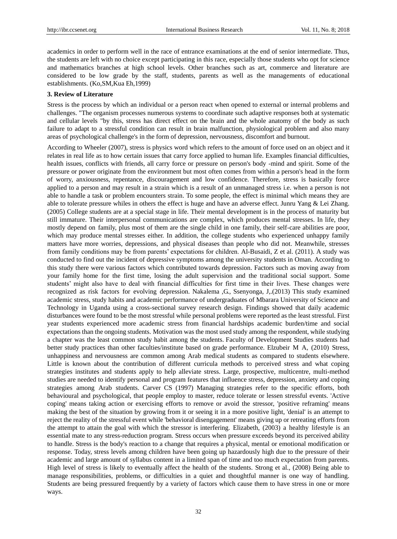academics in order to perform well in the race of entrance examinations at the end of senior intermediate. Thus, the students are left with no choice except participating in this race, especially those students who opt for science and mathematics branches at high school levels. Other branches such as art, commerce and literature are considered to be low grade by the staff, students, parents as well as the managements of educational establishments. (Ko,SM,Kua Eh,1999)

#### **3. Review of Literature**

Stress is the process by which an individual or a person react when opened to external or internal problems and challenges. "The organism processes numerous systems to coordinate such adaptive responses both at systematic and cellular levels "by this, stress has direct effect on the brain and the whole anatomy of the body as such failure to adapt to a stressful condition can result in brain malfunction, physiological problem and also many areas of psychological challenge's in the form of depression, nervousness, discomfort and burnout.

According to Wheeler (2007), stress is physics word which refers to the amount of force used on an object and it relates in real life as to how certain issues that carry force applied to human life. Examples financial difficulties, health issues, conflicts with friends, all carry force or pressure on person's body -mind and spirit. Some of the pressure or power originate from the environment but most often comes from within a person's head in the form of worry, anxiousness, repentance, discouragement and low confidence. Therefore, stress is basically force applied to a person and may result in a strain which is a result of an unmanaged stress i.e. when a person is not able to handle a task or problem encounters strain. To some people, the effect is minimal which means they are able to tolerate pressure whiles in others the effect is huge and have an adverse effect. Junru Yang & Lei Zhang. (2005) College students are at a special stage in life. Their mental development is in the process of maturity but still immature. Their interpersonal communications are complex, which produces mental stresses. In life, they mostly depend on family, plus most of them are the single child in one family, their self-care abilities are poor, which may produce mental stresses either. In addition, the college students who experienced unhappy family matters have more worries, depressions, and physical diseases than people who did not. Meanwhile, stresses from family conditions may be from parents' expectations for children. Al-Busaidi, Z et al. (2011). A study was conducted to find out the incident of depressive symptoms among the university students in Oman. According to this study there were various factors which contributed towards depression. Factors such as moving away from your family home for the first time, losing the adult supervision and the traditional social support. Some students' might also have to deal with financial difficulties for first time in their lives. These changes were recognized as risk factors for evolving depression. Nakalema ,G., Ssenyonga, J,.(2013) This study examined academic stress, study habits and academic performance of undergraduates of Mbarara University of Science and Technology in Uganda using a cross-sectional survey research design. Findings showed that daily academic disturbances were found to be the most stressful while personal problems were reported as the least stressful. First year students experienced more academic stress from financial hardships academic burden/time and social expectations than the ongoing students. Motivation was the most used study among the respondent, while studying a chapter was the least common study habit among the students. Faculty of Development Studies students had better study practices than other faculties/institute based on grade performance. Elzubeir M A, (2010) Stress, unhappiness and nervousness are common among Arab medical students as compared to students elsewhere. Little is known about the contribution of different curricula methods to perceived stress and what coping strategies institutes and students apply to help alleviate stress. Large, prospective, multicentre, multi-method studies are needed to identify personal and program features that influence stress, depression, anxiety and coping strategies among Arab students. Carver CS (1997) Managing strategies refer to the specific efforts, both behavioural and psychological, that people employ to master, reduce tolerate or lessen stressful events. 'Active coping' means taking action or exercising efforts to remove or avoid the stressor, 'positive reframing' means making the best of the situation by growing from it or seeing it in a more positive light, 'denial' is an attempt to reject the reality of the stressful event while 'behavioral disengagement' means giving up or retreating efforts from the attempt to attain the goal with which the stressor is interfering. Elizabeth, (2003) a healthy lifestyle is an essential mate to any stress-reduction program. Stress occurs when pressure exceeds beyond its perceived ability to handle. Stress is the body's reaction to a change that requires a physical, mental or emotional modification or response. Today, stress levels among children have been going up hazardously high due to the pressure of their academic and large amount of syllabus content in a limited span of time and too much expectation from parents. High level of stress is likely to eventually affect the health of the students. Strong et al., (2008) Being able to manage responsibilities, problems, or difficulties in a quiet and thoughtful manner is one way of handling. Students are being pressured frequently by a variety of factors which cause them to have stress in one or more ways.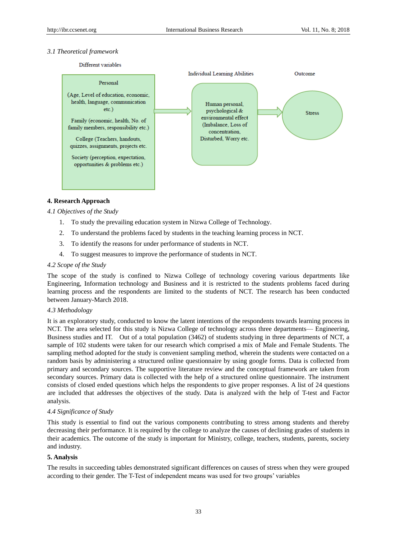## *3.1 Theoretical framework*



# **4. Research Approach**

*4.1 Objectives of the Study*

- 1. To study the prevailing education system in Nizwa College of Technology.
- 2. To understand the problems faced by students in the teaching learning process in NCT.
- 3. To identify the reasons for under performance of students in NCT.
- 4. To suggest measures to improve the performance of students in NCT.

#### *4.2 Scope of the Study*

The scope of the study is confined to Nizwa College of technology covering various departments like Engineering, Information technology and Business and it is restricted to the students problems faced during learning process and the respondents are limited to the students of NCT. The research has been conducted between January-March 2018.

#### *4.3 Methodology*

It is an exploratory study, conducted to know the latent intentions of the respondents towards learning process in NCT. The area selected for this study is Nizwa College of technology across three departments— Engineering, Business studies and IT. Out of a total population (3462) of students studying in three departments of NCT, a sample of 102 students were taken for our research which comprised a mix of Male and Female Students. The sampling method adopted for the study is convenient sampling method, wherein the students were contacted on a random basis by administering a structured online questionnaire by using google forms. Data is collected from primary and secondary sources. The supportive literature review and the conceptual framework are taken from secondary sources. Primary data is collected with the help of a structured online questionnaire. The instrument consists of closed ended questions which helps the respondents to give proper responses. A list of 24 questions are included that addresses the objectives of the study. Data is analyzed with the help of T-test and Factor analysis.

## *4.4 Significance of Study*

This study is essential to find out the various components contributing to stress among students and thereby decreasing their performance. It is required by the college to analyze the causes of declining grades of students in their academics. The outcome of the study is important for Ministry, college, teachers, students, parents, society and industry.

#### **5. Analysis**

The results in succeeding tables demonstrated significant differences on causes of stress when they were grouped according to their gender. The T-Test of independent means was used for two groups' variables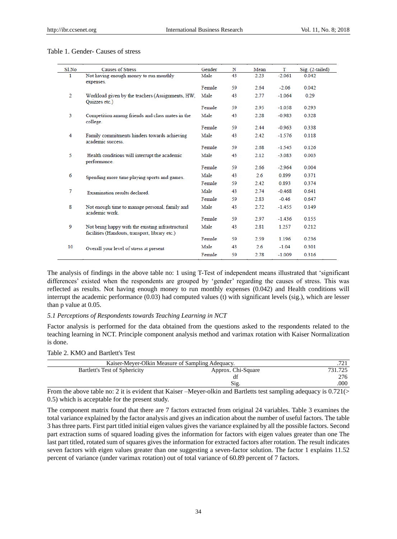# Table 1. Gender- Causes of stress

| Sl <sub>No</sub> | <b>Causes of Stress</b>                                                                             | Gender | N  | Mean | т        | Sig. (2-tailed) |
|------------------|-----------------------------------------------------------------------------------------------------|--------|----|------|----------|-----------------|
| 1                | Not having enough money to run monthly<br>expenses.                                                 | Male   | 43 | 2.23 | $-2.061$ | 0.042           |
|                  |                                                                                                     | Female | 59 | 2.64 | $-2.06$  | 0.042           |
| 2                | Workload given by the teachers (Assignments, HW,<br>Quizzes etc.)                                   | Male   | 43 | 2.77 | $-1.064$ | 0.29            |
|                  |                                                                                                     | Female | 59 | 2.95 | $-1.058$ | 0.293           |
| 3                | Competition among friends and class mates in the<br>college.                                        | Male   | 43 | 2.28 | $-0.983$ | 0.328           |
|                  |                                                                                                     | Female | 59 | 2.44 | $-0.963$ | 0.338           |
| 4                | Family commitments hinders towards achieving<br>academic success.                                   | Male   | 43 | 2.42 | $-1.576$ | 0.118           |
|                  |                                                                                                     | Female | 59 | 2.68 | $-1.545$ | 0.126           |
| 5                | Health conditions will interrupt the academic<br>performance.                                       | Male   | 43 | 2.12 | $-3.083$ | 0.003           |
|                  |                                                                                                     | Female | 59 | 2.66 | $-2.964$ | 0.004           |
| 6                | Spending more time playing sports and games.                                                        | Male   | 43 | 2.6  | 0.899    | 0.371           |
|                  |                                                                                                     | Female | 59 | 2.42 | 0.893    | 0.374           |
| 7                | Examination results declared.                                                                       | Male   | 43 | 2.74 | $-0.468$ | 0.641           |
|                  |                                                                                                     | Female | 59 | 2.83 | $-0.46$  | 0.647           |
| 8                | Not enough time to manage personal, family and<br>academic work                                     | Male   | 43 | 2.72 | $-1.455$ | 0.149           |
|                  |                                                                                                     | Female | 59 | 2.97 | $-1.436$ | 0.155           |
| 9                | Not being happy with the existing infrastructural<br>facilities (Handouts, transport, library etc.) | Male   | 43 | 2.81 | 1.257    | 0.212           |
|                  |                                                                                                     | Female | 59 | 2.59 | 1.196    | 0.236           |
| 10               | Overall your level of stress at present                                                             | Male   | 43 | 2.6  | $-1.04$  | 0.301           |
|                  |                                                                                                     | Female | 59 | 2.78 | $-1.009$ | 0.316           |

The analysis of findings in the above table no: 1 using T-Test of independent means illustrated that 'significant differences' existed when the respondents are grouped by 'gender' regarding the causes of stress. This was reflected as results. Not having enough money to run monthly expenses (0.042) and Health conditions will interrupt the academic performance (0.03) had computed values (t) with significant levels (sig.), which are lesser than p value at 0.05.

#### *5.1 Perceptions of Respondents towards Teaching Learning in NCT*

Factor analysis is performed for the data obtained from the questions asked to the respondents related to the teaching learning in NCT. Principle component analysis method and varimax rotation with Kaiser Normalization is done.

# Table 2. KMO and Bartlett's Test

| Kaiser-Meyer-Olkin Measure of Sampling Adequacy. |                                              |             |
|--------------------------------------------------|----------------------------------------------|-------------|
| Bartlett's Test of Sphericity                    | Approx. Chi-Square                           | 731.725     |
|                                                  |                                              | 276         |
|                                                  | Sig.                                         | .000        |
| $-  -$<br>$\overline{\phantom{a}}$<br>.          | ___<br>---<br>$\sim$ $\sim$<br>$\sim$ $\sim$ | ______<br>. |

From the above table no: 2 it is evident that Kaiser –Meyer-olkin and Bartletts test sampling adequacy is 0.721(> 0.5) which is acceptable for the present study.

The component matrix found that there are 7 factors extracted from original 24 variables. Table 3 examines the total variance explained by the factor analysis and gives an indication about the number of useful factors. The table 3 has three parts. First part titled initial eigen values gives the variance explained by all the possible factors. Second part extraction sums of squared loading gives the information for factors with eigen values greater than one The last part titled, rotated sum of squares gives the information for extracted factors after rotation. The result indicates seven factors with eigen values greater than one suggesting a seven-factor solution. The factor 1 explains 11.52 percent of variance (under varimax rotation) out of total variance of 60.89 percent of 7 factors.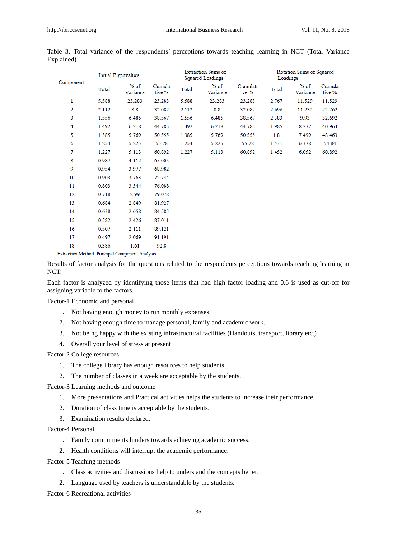| Component |       | <b>Initial Eigenvalues</b> |                  | <b>Extraction Sums of</b><br><b>Squared Loadings</b> |                    |                  |       | Rotation Sums of Squared<br>Loadings |                  |  |  |
|-----------|-------|----------------------------|------------------|------------------------------------------------------|--------------------|------------------|-------|--------------------------------------|------------------|--|--|
|           | Total | $%$ of<br>Variance         | Cumula<br>tive % | Total                                                | $%$ of<br>Variance | Cumulati<br>ve % | Total | $%$ of<br>Variance                   | Cumula<br>tive % |  |  |
| 1         | 5.588 | 23.283                     | 23.283           | 5.588                                                | 23.283             | 23.283           | 2.767 | 11.529                               | 11.529           |  |  |
| 2         | 2.112 | 8.8                        | 32.082           | 2.112                                                | 8.8                | 32.082           | 2.696 | 11.232                               | 22.762           |  |  |
| 3         | 1.556 | 6.485                      | 38.567           | 1.556                                                | 6.485              | 38.567           | 2.383 | 9.93                                 | 32.692           |  |  |
| 4         | 1.492 | 6.218                      | 44.785           | 1.492                                                | 6.218              | 44.785           | 1.985 | 8.272                                | 40.964           |  |  |
| 5         | 1.385 | 5.769                      | 50.555           | 1.385                                                | 5.769              | 50.555           | 1.8   | 7.499                                | 48.463           |  |  |
| 6         | 1.254 | 5.225                      | 55.78            | 1.254                                                | 5.225              | 55.78            | 1.531 | 6.378                                | 54.84            |  |  |
| 7         | 1.227 | 5.113                      | 60.892           | 1.227                                                | 5.113              | 60.892           | 1.452 | 6.052                                | 60.892           |  |  |
| 8         | 0.987 | 4.112                      | 65.005           |                                                      |                    |                  |       |                                      |                  |  |  |
| 9         | 0.954 | 3.977                      | 68.982           |                                                      |                    |                  |       |                                      |                  |  |  |
| 10        | 0.903 | 3.763                      | 72.744           |                                                      |                    |                  |       |                                      |                  |  |  |
| 11        | 0.803 | 3.344                      | 76.088           |                                                      |                    |                  |       |                                      |                  |  |  |
| 12        | 0.718 | 2.99                       | 79.078           |                                                      |                    |                  |       |                                      |                  |  |  |
| 13        | 0.684 | 2.849                      | 81.927           |                                                      |                    |                  |       |                                      |                  |  |  |
| 14        | 0.638 | 2.658                      | 84.585           |                                                      |                    |                  |       |                                      |                  |  |  |
| 15        | 0.582 | 2.426                      | 87.011           |                                                      |                    |                  |       |                                      |                  |  |  |
| 16        | 0.507 | 2.111                      | 89.121           |                                                      |                    |                  |       |                                      |                  |  |  |
| 17        | 0.497 | 2.069                      | 91.191           |                                                      |                    |                  |       |                                      |                  |  |  |
| 18        | 0.386 | 1.61                       | 92.8             |                                                      |                    |                  |       |                                      |                  |  |  |

Table 3. Total variance of the respondents' perceptions towards teaching learning in NCT (Total Variance Explained)

Extraction Method: Principal Component Analysis.

Results of factor analysis for the questions related to the respondents perceptions towards teaching learning in NCT.

Each factor is analyzed by identifying those items that had high factor loading and 0.6 is used as cut-off for assigning variable to the factors.

Factor-1 Economic and personal

- 1. Not having enough money to run monthly expenses.
- 2. Not having enough time to manage personal, family and academic work.
- 3. Not being happy with the existing infrastructural facilities (Handouts, transport, library etc.)
- 4. Overall your level of stress at present

Factor-2 College resources

- 1. The college library has enough resources to help students.
- 2. The number of classes in a week are acceptable by the students.

Factor-3 Learning methods and outcome

- 1. More presentations and Practical activities helps the students to increase their performance.
- 2. Duration of class time is acceptable by the students.
- 3. Examination results declared.

Factor-4 Personal

- 1. Family commitments hinders towards achieving academic success.
- 2. Health conditions will interrupt the academic performance.

Factor-5 Teaching methods

- 1. Class activities and discussions help to understand the concepts better.
- 2. Language used by teachers is understandable by the students.

Factor-6 Recreational activities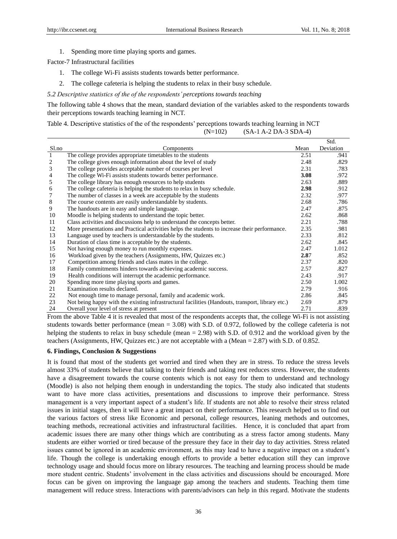1. Spending more time playing sports and games.

Factor-7 Infrastructural facilities

- 1. The college Wi-Fi assists students towards better performance.
- 2. The college cafeteria is helping the students to relax in their busy schedule.
- *5.2 Descriptive statistics of the of the respondents' perceptions towards teaching*

The following table 4 shows that the mean, standard deviation of the variables asked to the respondents towards their perceptions towards teaching learning in NCT.

Table 4. Descriptive statistics of the of the respondents' perceptions towards teaching learning in NCT (N=102) (SA-1 A-2 DA-3 SDA-4)

|                |                                                                                                  |      | Std.      |
|----------------|--------------------------------------------------------------------------------------------------|------|-----------|
| Sl.no          | Components                                                                                       | Mean | Deviation |
|                | The college provides appropriate timetables to the students                                      | 2.51 | .941      |
| $\overline{c}$ | The college gives enough information about the level of study                                    | 2.48 | .829      |
| 3              | The college provides acceptable number of courses per level                                      | 2.31 | .783      |
| 4              | The college Wi-Fi assists students towards better performance.                                   | 3.08 | .972      |
| 5              | The college library has enough resources to help students                                        | 2.63 | .889      |
| 6              | The college cafeteria is helping the students to relax in busy schedule.                         | 2.98 | .912      |
| 7              | The number of classes in a week are acceptable by the students                                   | 2.32 | .977      |
| $\,8$          | The course contents are easily understandable by students.                                       | 2.68 | .786      |
| 9              | The handouts are in easy and simple language.                                                    | 2.47 | .875      |
| 10             | Moodle is helping students to understand the topic better.                                       | 2.62 | .868      |
| 11             | Class activities and discussions help to understand the concepts better.                         | 2.21 | .788      |
| 12             | More presentations and Practical activities helps the students to increase their performance.    | 2.35 | .981      |
| 13             | Language used by teachers is understandable by the students.                                     | 2.33 | .812      |
| 14             | Duration of class time is acceptable by the students.                                            | 2.62 | .845      |
| 15             | Not having enough money to run monthly expenses.                                                 | 2.47 | 1.012     |
| 16             | Workload given by the teachers (Assignments, HW, Quizzes etc.)                                   | 2.87 | .852      |
| 17             | Competition among friends and class mates in the college.                                        | 2.37 | .820      |
| 18             | Family commitments hinders towards achieving academic success.                                   | 2.57 | .827      |
| 19             | Health conditions will interrupt the academic performance.                                       | 2.43 | .917      |
| 20             | Spending more time playing sports and games.                                                     | 2.50 | 1.002     |
| 21             | Examination results declared.                                                                    | 2.79 | .916      |
| 22             | Not enough time to manage personal, family and academic work.                                    | 2.86 | .845      |
| 23             | Not being happy with the existing infrastructural facilities (Handouts, transport, library etc.) | 2.69 | .879      |
| 24             | Overall your level of stress at present                                                          | 2.71 | .839      |

From the above Table 4 it is revealed that most of the respondents accepts that, the college Wi-Fi is not assisting students towards better performance (mean = 3.08) with S.D. of 0.972, followed by the college cafeteria is not helping the students to relax in busy schedule (mean = 2.98) with S.D. of 0.912 and the workload given by the teachers (Assignments, HW, Quizzes etc.) are not acceptable with a (Mean = 2.87) with S.D. of 0.852.

# **6. Findings, Conclusion & Suggestions**

It is found that most of the students get worried and tired when they are in stress. To reduce the stress levels almost 33% of students believe that talking to their friends and taking rest reduces stress. However, the students have a disagreement towards the course contents which is not easy for them to understand and technology (Moodle) is also not helping them enough in understanding the topics. The study also indicated that students want to have more class activities, presentations and discussions to improve their performance. Stress management is a very important aspect of a student's life. If students are not able to resolve their stress related issues in initial stages, then it will have a great impact on their performance. This research helped us to find out the various factors of stress like Economic and personal, college resources, leaning methods and outcomes, teaching methods, recreational activities and infrastructural facilities. Hence, it is concluded that apart from academic issues there are many other things which are contributing as a stress factor among students. Many students are either worried or tired because of the pressure they face in their day to day activities. Stress related issues cannot be ignored in an academic environment, as this may lead to have a negative impact on a student's life. Though the college is undertaking enough efforts to provide a better education still they can improve technology usage and should focus more on library resources. The teaching and learning process should be made more student centric. Students' involvement in the class activities and discussions should be encouraged. More focus can be given on improving the language gap among the teachers and students. Teaching them time management will reduce stress. Interactions with parents/advisors can help in this regard. Motivate the students